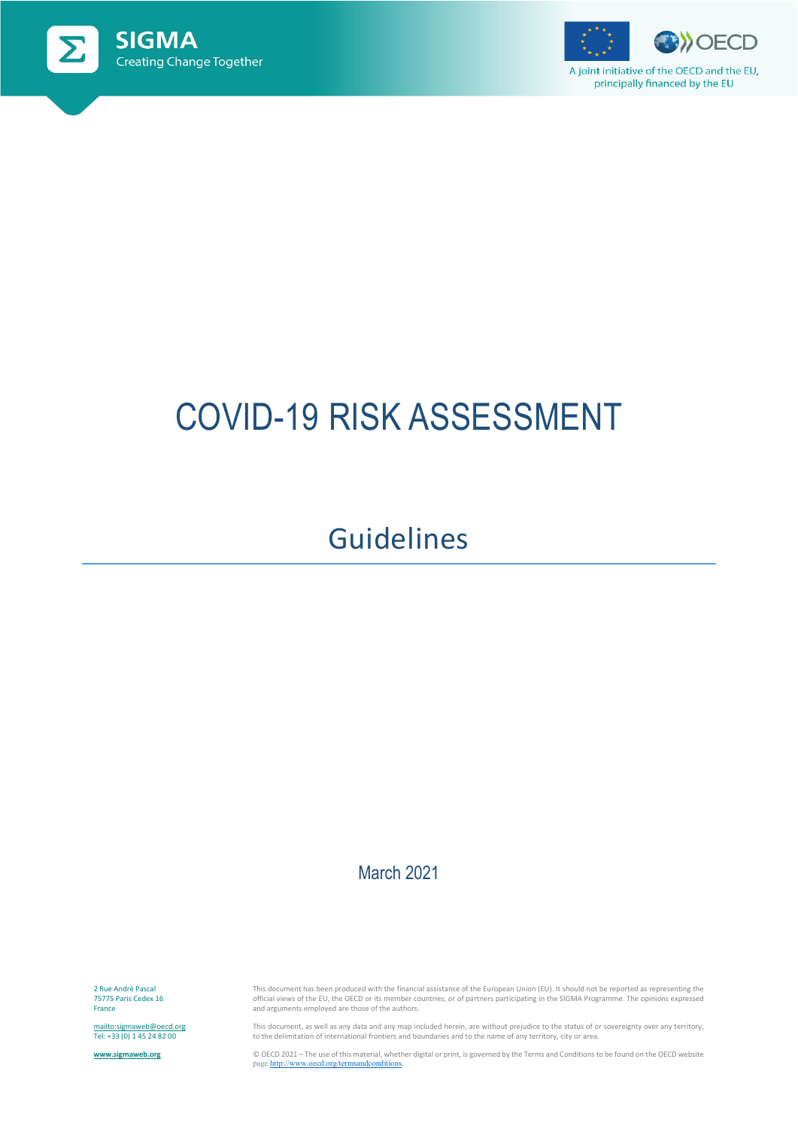



# COVID-19 RISK ASSESSMENT

# Guidelines

### March 2021

2 Rue André Pascal 75775 Paris Cedex 16 France

<mailto:sigmaweb@oecd.org> Tel: +33 (0) 1 45 24 82 00

**[www.sigmaweb.org](http://www.sigmaweb.org/)**

This document has been produced with the financial assistance of the European Union (EU). It should not be reported as representing the<br>official views of the EU, the OECD or its member countries, or of partners participati and arguments employed are those of the authors.

This document, as well as any data and any map included herein, are without prejudice to the status of or sovereignty over any territory, to the delimitation of international frontiers and boundaries and to the name of any territory, city or area.

© OECD 2021 – The use of this material, whether digital or print, is governed by the Terms and Conditions to be found on the OECD website pag[e http://www.oecd.org/termsandconditions.](http://www.oecd.org/termsandconditions)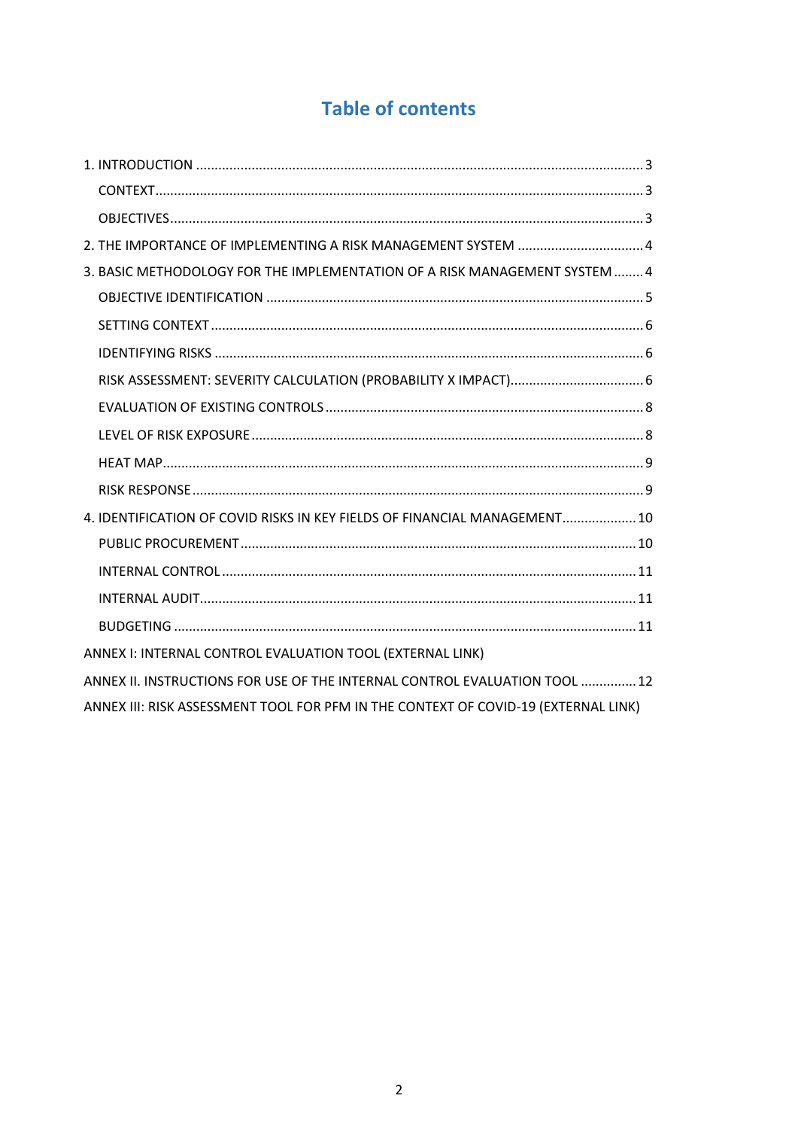# **Table of contents**

| 3. BASIC METHODOLOGY FOR THE IMPLEMENTATION OF A RISK MANAGEMENT SYSTEM  4         |
|------------------------------------------------------------------------------------|
|                                                                                    |
|                                                                                    |
|                                                                                    |
|                                                                                    |
|                                                                                    |
|                                                                                    |
|                                                                                    |
|                                                                                    |
| 4. IDENTIFICATION OF COVID RISKS IN KEY FIELDS OF FINANCIAL MANAGEMENT 10          |
|                                                                                    |
|                                                                                    |
|                                                                                    |
|                                                                                    |
| ANNEX I: INTERNAL CONTROL EVALUATION TOOL (EXTERNAL LINK)                          |
| ANNEX II. INSTRUCTIONS FOR USE OF THE INTERNAL CONTROL EVALUATION TOOL  12         |
| ANNEX III: RISK ASSESSMENT TOOL FOR PFM IN THE CONTEXT OF COVID-19 (EXTERNAL LINK) |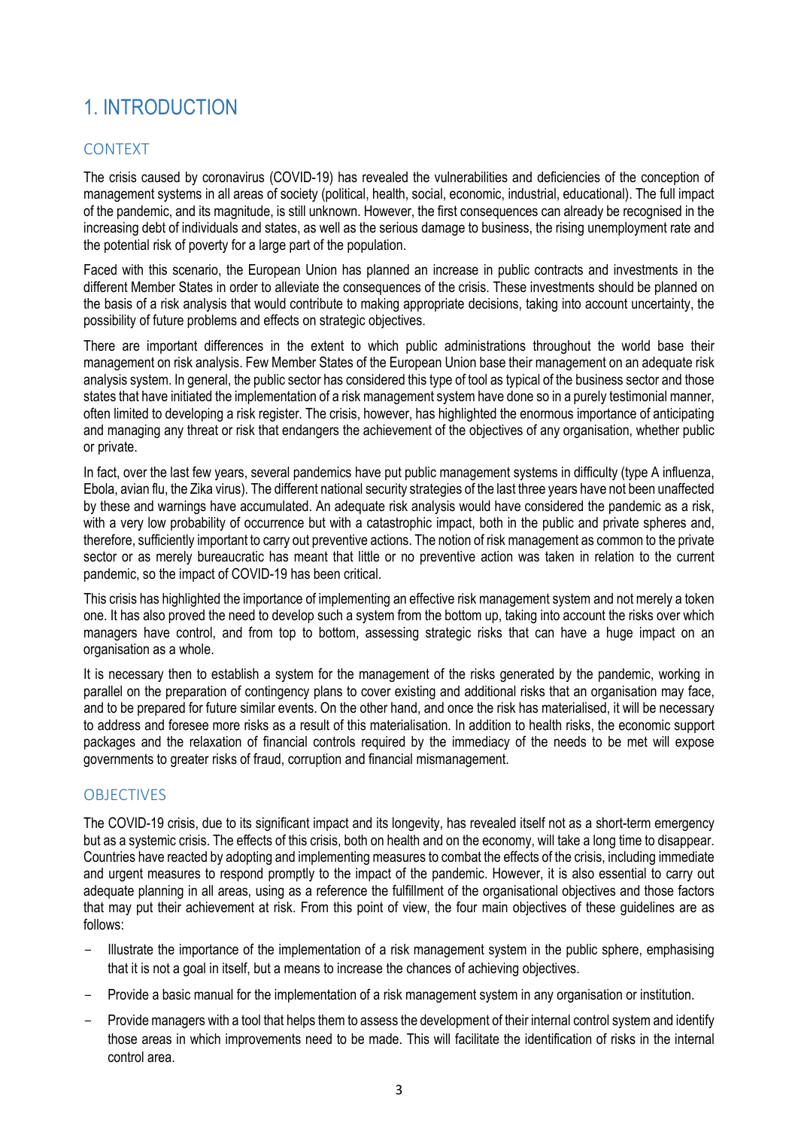# <span id="page-2-0"></span>1. INTRODUCTION

#### <span id="page-2-1"></span>CONTEXT

The crisis caused by coronavirus (COVID-19) has revealed the vulnerabilities and deficiencies of the conception of management systems in all areas of society (political, health, social, economic, industrial, educational). The full impact of the pandemic, and its magnitude, is still unknown. However, the first consequences can already be recognised in the increasing debt of individuals and states, as well as the serious damage to business, the rising unemployment rate and the potential risk of poverty for a large part of the population.

Faced with this scenario, the European Union has planned an increase in public contracts and investments in the different Member States in order to alleviate the consequences of the crisis. These investments should be planned on the basis of a risk analysis that would contribute to making appropriate decisions, taking into account uncertainty, the possibility of future problems and effects on strategic objectives.

There are important differences in the extent to which public administrations throughout the world base their management on risk analysis. Few Member States of the European Union base their management on an adequate risk analysis system. In general, the public sector has considered this type of tool as typical of the business sector and those states that have initiated the implementation of a risk management system have done so in a purely testimonial manner, often limited to developing a risk register. The crisis, however, has highlighted the enormous importance of anticipating and managing any threat or risk that endangers the achievement of the objectives of any organisation, whether public or private.

In fact, over the last few years, several pandemics have put public management systems in difficulty (type A influenza, Ebola, avian flu, the Zika virus). The different national security strategies of the last three years have not been unaffected by these and warnings have accumulated. An adequate risk analysis would have considered the pandemic as a risk, with a very low probability of occurrence but with a catastrophic impact, both in the public and private spheres and, therefore, sufficiently important to carry out preventive actions. The notion of risk management as common to the private sector or as merely bureaucratic has meant that little or no preventive action was taken in relation to the current pandemic, so the impact of COVID-19 has been critical.

This crisis has highlighted the importance of implementing an effective risk management system and not merely a token one. It has also proved the need to develop such a system from the bottom up, taking into account the risks over which managers have control, and from top to bottom, assessing strategic risks that can have a huge impact on an organisation as a whole.

It is necessary then to establish a system for the management of the risks generated by the pandemic, working in parallel on the preparation of contingency plans to cover existing and additional risks that an organisation may face, and to be prepared for future similar events. On the other hand, and once the risk has materialised, it will be necessary to address and foresee more risks as a result of this materialisation. In addition to health risks, the economic support packages and the relaxation of financial controls required by the immediacy of the needs to be met will expose governments to greater risks of fraud, corruption and financial mismanagement.

#### <span id="page-2-2"></span>**OBJECTIVES**

The COVID-19 crisis, due to its significant impact and its longevity, has revealed itself not as a short-term emergency but as a systemic crisis. The effects of this crisis, both on health and on the economy, will take a long time to disappear. Countries have reacted by adopting and implementing measures to combat the effects of the crisis, including immediate and urgent measures to respond promptly to the impact of the pandemic. However, it is also essential to carry out adequate planning in all areas, using as a reference the fulfillment of the organisational objectives and those factors that may put their achievement at risk. From this point of view, the four main objectives of these guidelines are as follows:

- Illustrate the importance of the implementation of a risk management system in the public sphere, emphasising that it is not a goal in itself, but a means to increase the chances of achieving objectives.
- Provide a basic manual for the implementation of a risk management system in any organisation or institution.
- Provide managers with a tool that helps them to assess the development of their internal control system and identify those areas in which improvements need to be made. This will facilitate the identification of risks in the internal control area.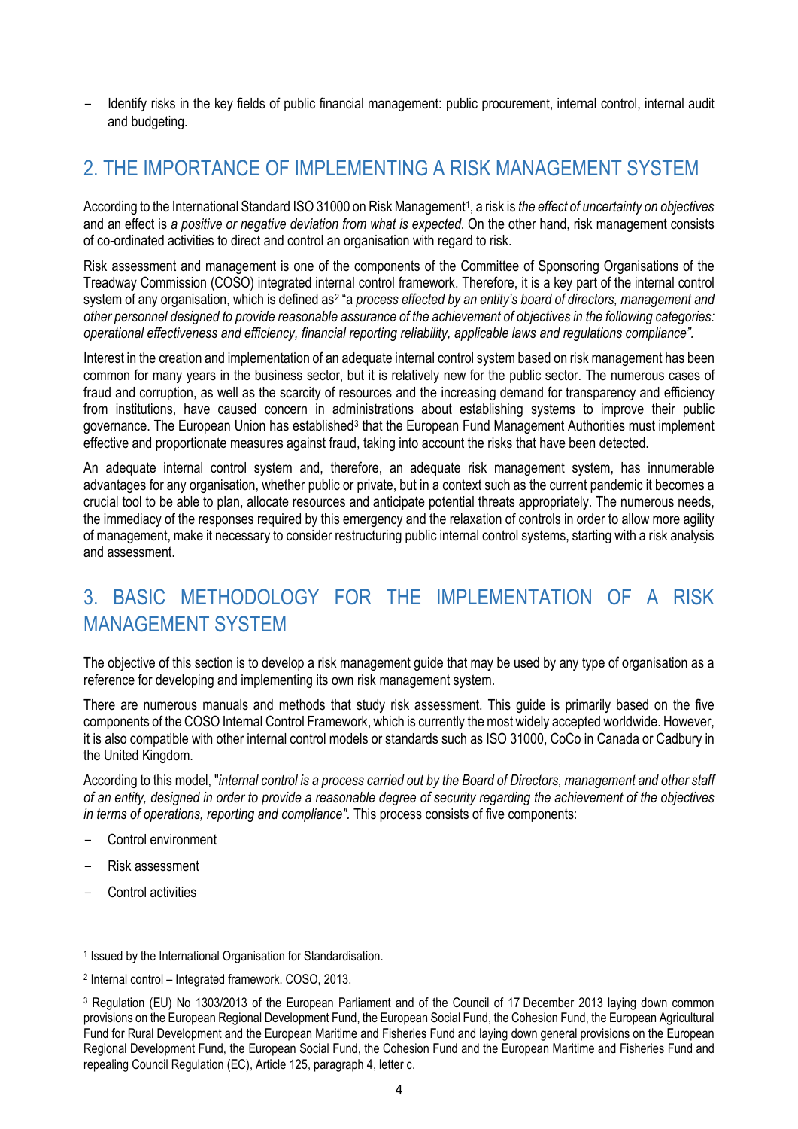Identify risks in the key fields of public financial management: public procurement, internal control, internal audit and budgeting.

# <span id="page-3-0"></span>2. THE IMPORTANCE OF IMPLEMENTING A RISK MANAGEMENT SYSTEM

According to the International Standard ISO 31000 on Risk Management[1,](#page-3-2) a risk is *the effect of uncertainty on objectives* and an effect is *a positive or negative deviation from what is expected*. On the other hand, risk management consists of co-ordinated activities to direct and control an organisation with regard to risk.

Risk assessment and management is one of the components of the Committee of Sponsoring Organisations of the Treadway Commission (COSO) integrated internal control framework. Therefore, it is a key part of the internal control system of any organisation, which is defined as<sup>[2](#page-3-3)</sup> "a *process effected by an entity's board of directors, management and other personnel designed to provide reasonable assurance of the achievement of objectives in the following categories: operational effectiveness and efficiency, financial reporting reliability, applicable laws and regulations compliance".*

Interest in the creation and implementation of an adequate internal control system based on risk management has been common for many years in the business sector, but it is relatively new for the public sector. The numerous cases of fraud and corruption, as well as the scarcity of resources and the increasing demand for transparency and efficiency from institutions, have caused concern in administrations about establishing systems to improve their public governance. The European Union has established<sup>3</sup> that the European Fund Management Authorities must implement effective and proportionate measures against fraud, taking into account the risks that have been detected.

An adequate internal control system and, therefore, an adequate risk management system, has innumerable advantages for any organisation, whether public or private, but in a context such as the current pandemic it becomes a crucial tool to be able to plan, allocate resources and anticipate potential threats appropriately. The numerous needs, the immediacy of the responses required by this emergency and the relaxation of controls in order to allow more agility of management, make it necessary to consider restructuring public internal control systems, starting with a risk analysis and assessment.

# <span id="page-3-1"></span>3. BASIC METHODOLOGY FOR THE IMPLEMENTATION OF A RISK MANAGEMENT SYSTEM

The objective of this section is to develop a risk management guide that may be used by any type of organisation as a reference for developing and implementing its own risk management system.

There are numerous manuals and methods that study risk assessment. This guide is primarily based on the five components of the COSO Internal Control Framework, which is currently the most widely accepted worldwide. However, it is also compatible with other internal control models or standards such as ISO 31000, CoCo in Canada or Cadbury in the United Kingdom.

According to this model, "*internal control is a process carried out by the Board of Directors, management and other staff of an entity, designed in order to provide a reasonable degree of security regarding the achievement of the objectives in terms of operations, reporting and compliance".* This process consists of five components:

- Control environment
- Risk assessment
- Control activities

l

<span id="page-3-2"></span><sup>1</sup> Issued by the International Organisation for Standardisation.

<span id="page-3-3"></span><sup>2</sup> Internal control – Integrated framework. COSO, 2013.

<span id="page-3-4"></span><sup>3</sup> Regulation (EU) No 1303/2013 of the European Parliament and of the Council of 17 December 2013 laying down common provisions on the European Regional Development Fund, the European Social Fund, the Cohesion Fund, the European Agricultural Fund for Rural Development and the European Maritime and Fisheries Fund and laying down general provisions on the European Regional Development Fund, the European Social Fund, the Cohesion Fund and the European Maritime and Fisheries Fund and repealing Council Regulation (EC), Article 125, paragraph 4, letter c.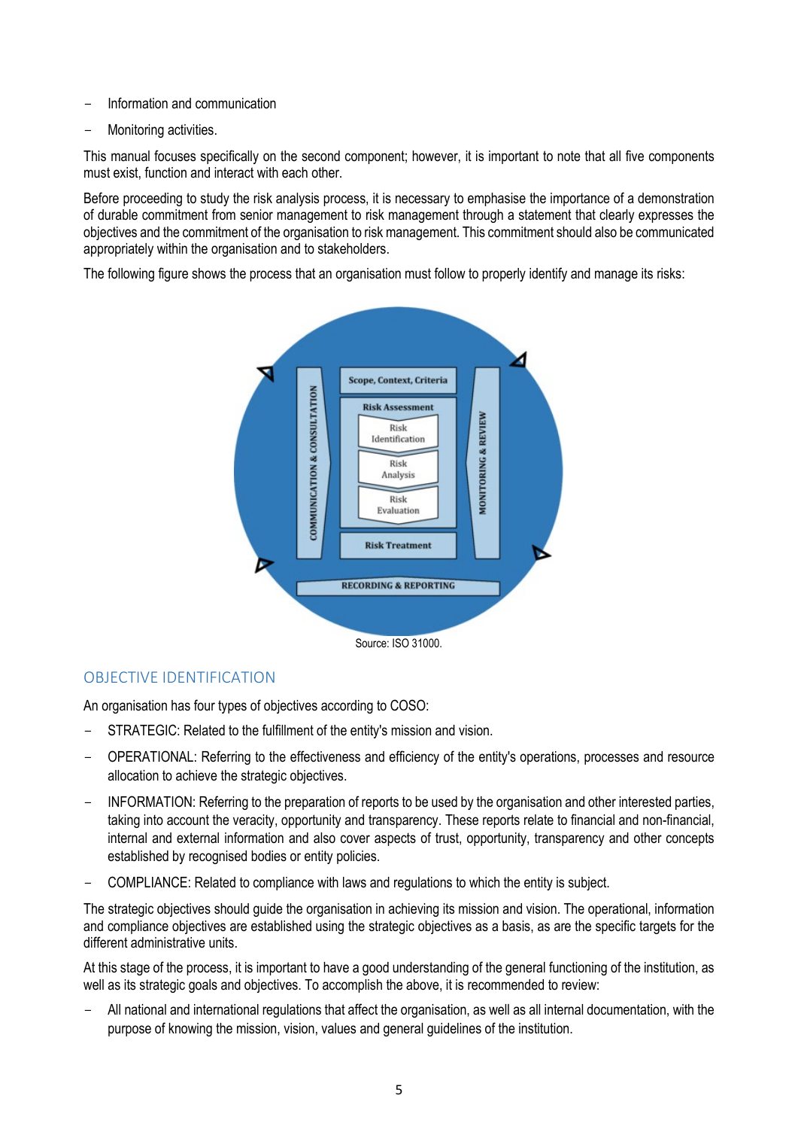- Information and communication
- Monitoring activities.

This manual focuses specifically on the second component; however, it is important to note that all five components must exist, function and interact with each other.

Before proceeding to study the risk analysis process, it is necessary to emphasise the importance of a demonstration of durable commitment from senior management to risk management through a statement that clearly expresses the objectives and the commitment of the organisation to risk management. This commitment should also be communicated appropriately within the organisation and to stakeholders.

The following figure shows the process that an organisation must follow to properly identify and manage its risks:



#### <span id="page-4-0"></span>OBJECTIVE IDENTIFICATION

An organisation has four types of objectives according to COSO:

- STRATEGIC: Related to the fulfillment of the entity's mission and vision.
- OPERATIONAL: Referring to the effectiveness and efficiency of the entity's operations, processes and resource allocation to achieve the strategic objectives.
- INFORMATION: Referring to the preparation of reports to be used by the organisation and other interested parties, taking into account the veracity, opportunity and transparency. These reports relate to financial and non-financial, internal and external information and also cover aspects of trust, opportunity, transparency and other concepts established by recognised bodies or entity policies.
- COMPLIANCE: Related to compliance with laws and regulations to which the entity is subject.

The strategic objectives should guide the organisation in achieving its mission and vision. The operational, information and compliance objectives are established using the strategic objectives as a basis, as are the specific targets for the different administrative units.

At this stage of the process, it is important to have a good understanding of the general functioning of the institution, as well as its strategic goals and objectives. To accomplish the above, it is recommended to review:

- All national and international regulations that affect the organisation, as well as all internal documentation, with the purpose of knowing the mission, vision, values and general guidelines of the institution.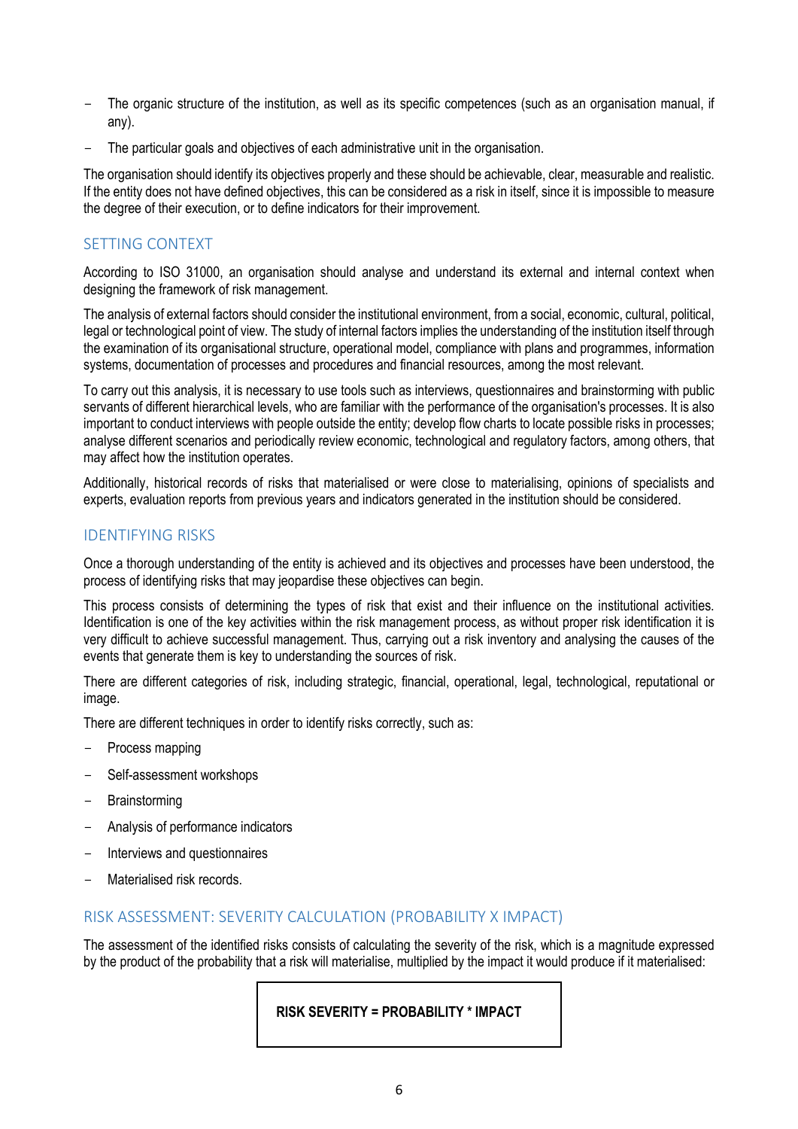- The organic structure of the institution, as well as its specific competences (such as an organisation manual, if any).
- The particular goals and objectives of each administrative unit in the organisation.

The organisation should identify its objectives properly and these should be achievable, clear, measurable and realistic. If the entity does not have defined objectives, this can be considered as a risk in itself, since it is impossible to measure the degree of their execution, or to define indicators for their improvement.

#### <span id="page-5-0"></span>SETTING CONTEXT

According to ISO 31000, an organisation should analyse and understand its external and internal context when designing the framework of risk management.

The analysis of external factors should consider the institutional environment, from a social, economic, cultural, political, legal or technological point of view. The study of internal factors implies the understanding of the institution itself through the examination of its organisational structure, operational model, compliance with plans and programmes, information systems, documentation of processes and procedures and financial resources, among the most relevant.

To carry out this analysis, it is necessary to use tools such as interviews, questionnaires and brainstorming with public servants of different hierarchical levels, who are familiar with the performance of the organisation's processes. It is also important to conduct interviews with people outside the entity; develop flow charts to locate possible risks in processes; analyse different scenarios and periodically review economic, technological and regulatory factors, among others, that may affect how the institution operates.

Additionally, historical records of risks that materialised or were close to materialising, opinions of specialists and experts, evaluation reports from previous years and indicators generated in the institution should be considered.

#### <span id="page-5-1"></span>IDENTIFYING RISKS

Once a thorough understanding of the entity is achieved and its objectives and processes have been understood, the process of identifying risks that may jeopardise these objectives can begin.

This process consists of determining the types of risk that exist and their influence on the institutional activities. Identification is one of the key activities within the risk management process, as without proper risk identification it is very difficult to achieve successful management. Thus, carrying out a risk inventory and analysing the causes of the events that generate them is key to understanding the sources of risk.

There are different categories of risk, including strategic, financial, operational, legal, technological, reputational or image.

There are different techniques in order to identify risks correctly, such as:

- Process mapping
- Self-assessment workshops
- **Brainstorming**
- Analysis of performance indicators
- Interviews and questionnaires
- Materialised risk records.

#### <span id="page-5-2"></span>RISK ASSESSMENT: SEVERITY CALCULATION (PROBABILITY X IMPACT)

The assessment of the identified risks consists of calculating the severity of the risk, which is a magnitude expressed by the product of the probability that a risk will materialise, multiplied by the impact it would produce if it materialised:

**RISK SEVERITY = PROBABILITY \* IMPACT**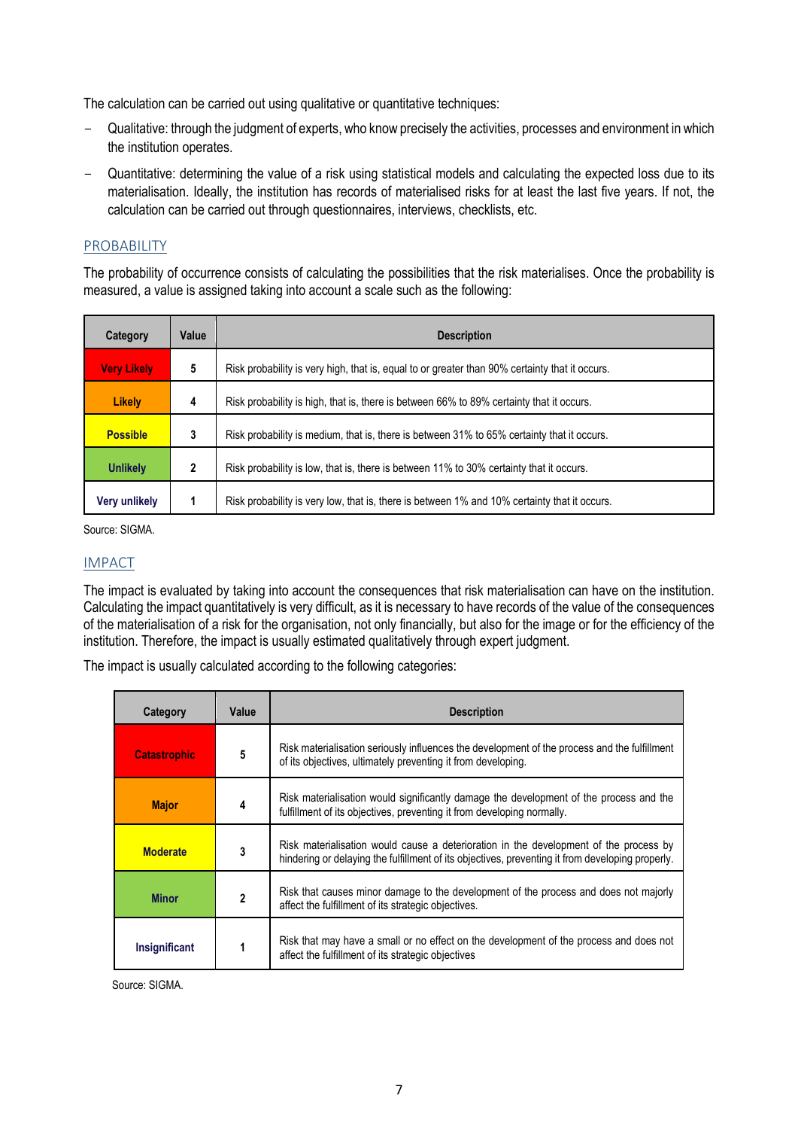The calculation can be carried out using qualitative or quantitative techniques:

- Qualitative: through the judgment of experts, who know precisely the activities, processes and environment in which the institution operates.
- Quantitative: determining the value of a risk using statistical models and calculating the expected loss due to its materialisation. Ideally, the institution has records of materialised risks for at least the last five years. If not, the calculation can be carried out through questionnaires, interviews, checklists, etc.

#### PROBABILITY

The probability of occurrence consists of calculating the possibilities that the risk materialises. Once the probability is measured, a value is assigned taking into account a scale such as the following:

| Category           | Value                                                                                        | <b>Description</b>                                                                             |  |  |
|--------------------|----------------------------------------------------------------------------------------------|------------------------------------------------------------------------------------------------|--|--|
| <b>Very Likely</b> | 5                                                                                            | Risk probability is very high, that is, equal to or greater than 90% certainty that it occurs. |  |  |
| <b>Likely</b>      | 4                                                                                            | Risk probability is high, that is, there is between 66% to 89% certainty that it occurs.       |  |  |
| <b>Possible</b>    | 3                                                                                            | Risk probability is medium, that is, there is between 31% to 65% certainty that it occurs.     |  |  |
| <b>Unlikely</b>    | Risk probability is low, that is, there is between 11% to 30% certainty that it occurs.<br>2 |                                                                                                |  |  |
| Very unlikely      |                                                                                              | Risk probability is very low, that is, there is between 1% and 10% certainty that it occurs.   |  |  |

Source: SIGMA.

#### IMPACT

The impact is evaluated by taking into account the consequences that risk materialisation can have on the institution. Calculating the impact quantitatively is very difficult, as it is necessary to have records of the value of the consequences of the materialisation of a risk for the organisation, not only financially, but also for the image or for the efficiency of the institution. Therefore, the impact is usually estimated qualitatively through expert judgment.

The impact is usually calculated according to the following categories:

| Category                                                                            | Value | <b>Description</b>                                                                                                                                                                        |  |
|-------------------------------------------------------------------------------------|-------|-------------------------------------------------------------------------------------------------------------------------------------------------------------------------------------------|--|
| <b>Catastrophic</b>                                                                 | 5     | Risk materialisation seriously influences the development of the process and the fulfillment<br>of its objectives, ultimately preventing it from developing.                              |  |
| <b>Major</b>                                                                        | 4     | Risk materialisation would significantly damage the development of the process and the<br>fulfillment of its objectives, preventing it from developing normally.                          |  |
| <b>Moderate</b>                                                                     | 3     | Risk materialisation would cause a deterioration in the development of the process by<br>hindering or delaying the fulfillment of its objectives, preventing it from developing properly. |  |
| $\mathbf{2}$<br><b>Minor</b><br>affect the fulfillment of its strategic objectives. |       | Risk that causes minor damage to the development of the process and does not majorly                                                                                                      |  |
| Insignificant                                                                       |       | Risk that may have a small or no effect on the development of the process and does not<br>affect the fulfillment of its strategic objectives                                              |  |

Source: SIGMA.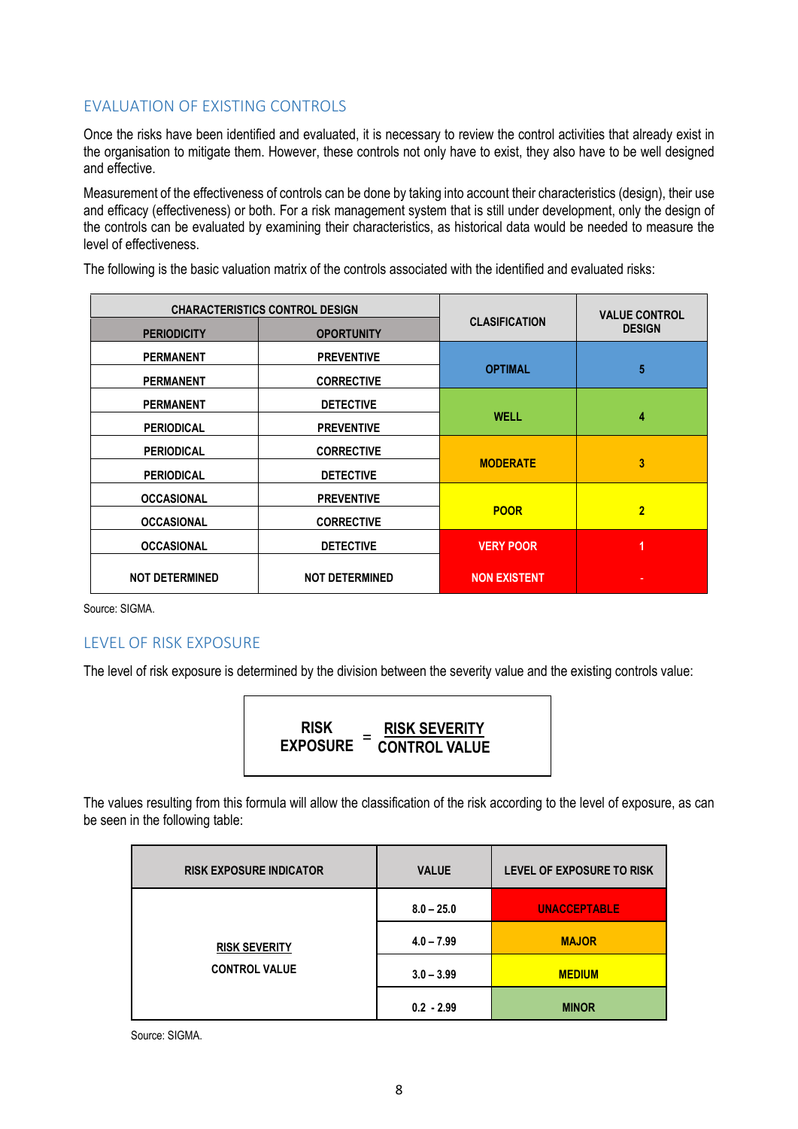#### <span id="page-7-0"></span>EVALUATION OF EXISTING CONTROLS

Once the risks have been identified and evaluated, it is necessary to review the control activities that already exist in the organisation to mitigate them. However, these controls not only have to exist, they also have to be well designed and effective.

Measurement of the effectiveness of controls can be done by taking into account their characteristics (design), their use and efficacy (effectiveness) or both. For a risk management system that is still under development, only the design of the controls can be evaluated by examining their characteristics, as historical data would be needed to measure the level of effectiveness.

|                       | <b>CHARACTERISTICS CONTROL DESIGN</b> | <b>CLASIFICATION</b> | <b>VALUE CONTROL</b> |  |
|-----------------------|---------------------------------------|----------------------|----------------------|--|
| <b>PERIODICITY</b>    | <b>OPORTUNITY</b>                     |                      | <b>DESIGN</b>        |  |
| <b>PERMANENT</b>      | <b>PREVENTIVE</b>                     | <b>OPTIMAL</b>       | 5                    |  |
| <b>PERMANENT</b>      | <b>CORRECTIVE</b>                     |                      |                      |  |
| <b>PERMANENT</b>      | <b>DETECTIVE</b>                      |                      |                      |  |
| <b>PERIODICAL</b>     | <b>PREVENTIVE</b>                     | <b>WELL</b>          | 4                    |  |
| <b>PERIODICAL</b>     | <b>CORRECTIVE</b>                     |                      |                      |  |
| <b>PERIODICAL</b>     | <b>DETECTIVE</b>                      | <b>MODERATE</b>      | 3                    |  |
| <b>OCCASIONAL</b>     | <b>PREVENTIVE</b>                     |                      |                      |  |
| <b>OCCASIONAL</b>     | <b>CORRECTIVE</b>                     | <b>POOR</b>          | $\overline{2}$       |  |
| <b>OCCASIONAL</b>     | <b>DETECTIVE</b>                      | <b>VERY POOR</b>     | 1                    |  |
| <b>NOT DETERMINED</b> | <b>NOT DETERMINED</b>                 | <b>NON EXISTENT</b>  |                      |  |

The following is the basic valuation matrix of the controls associated with the identified and evaluated risks:

Source: SIGMA.

#### <span id="page-7-1"></span>LEVEL OF RISK EXPOSURE

The level of risk exposure is determined by the division between the severity value and the existing controls value:

| <b>RISK</b><br>=<br><b>EXPOSURE</b> | <b>RISK SEVERITY</b><br><b>CONTROL VALUE</b> |
|-------------------------------------|----------------------------------------------|
|                                     |                                              |

The values resulting from this formula will allow the classification of the risk according to the level of exposure, as can be seen in the following table:

| <b>RISK EXPOSURE INDICATOR</b> | <b>VALUE</b> | LEVEL OF EXPOSURE TO RISK |
|--------------------------------|--------------|---------------------------|
|                                | $8.0 - 25.0$ | <b>UNACCEPTABLE</b>       |
| <b>RISK SEVERITY</b>           | $4.0 - 7.99$ | <b>MAJOR</b>              |
| <b>CONTROL VALUE</b>           | $3.0 - 3.99$ | <b>MEDIUM</b>             |
|                                | $0.2 - 2.99$ | <b>MINOR</b>              |

Source: SIGMA.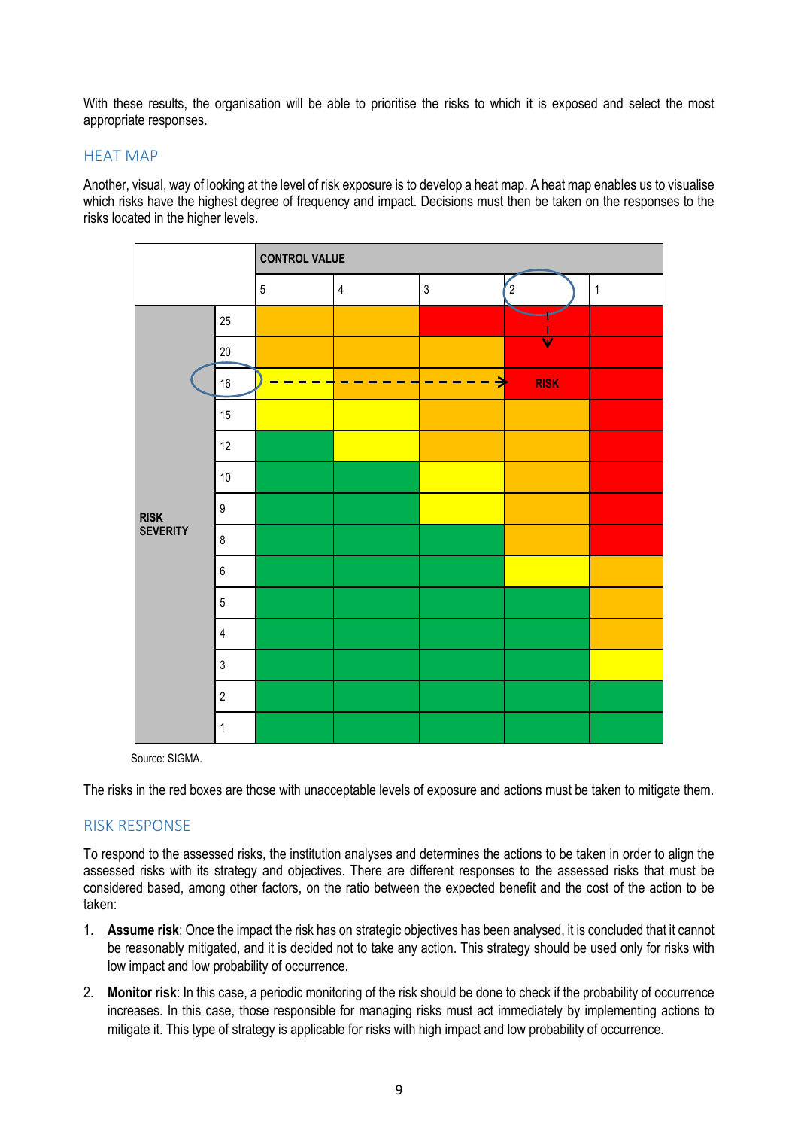With these results, the organisation will be able to prioritise the risks to which it is exposed and select the most appropriate responses.

#### <span id="page-8-0"></span>HEAT MAP

Another, visual, way of looking at the level of risk exposure is to develop a heat map. A heat map enables us to visualise which risks have the highest degree of frequency and impact. Decisions must then be taken on the responses to the risks located in the higher levels.



Source: SIGMA.

The risks in the red boxes are those with unacceptable levels of exposure and actions must be taken to mitigate them.

#### <span id="page-8-1"></span>RISK RESPONSE

To respond to the assessed risks, the institution analyses and determines the actions to be taken in order to align the assessed risks with its strategy and objectives. There are different responses to the assessed risks that must be considered based, among other factors, on the ratio between the expected benefit and the cost of the action to be taken:

- 1. **Assume risk**: Once the impact the risk has on strategic objectives has been analysed, it is concluded that it cannot be reasonably mitigated, and it is decided not to take any action. This strategy should be used only for risks with low impact and low probability of occurrence.
- 2. **Monitor risk**: In this case, a periodic monitoring of the risk should be done to check if the probability of occurrence increases. In this case, those responsible for managing risks must act immediately by implementing actions to mitigate it. This type of strategy is applicable for risks with high impact and low probability of occurrence.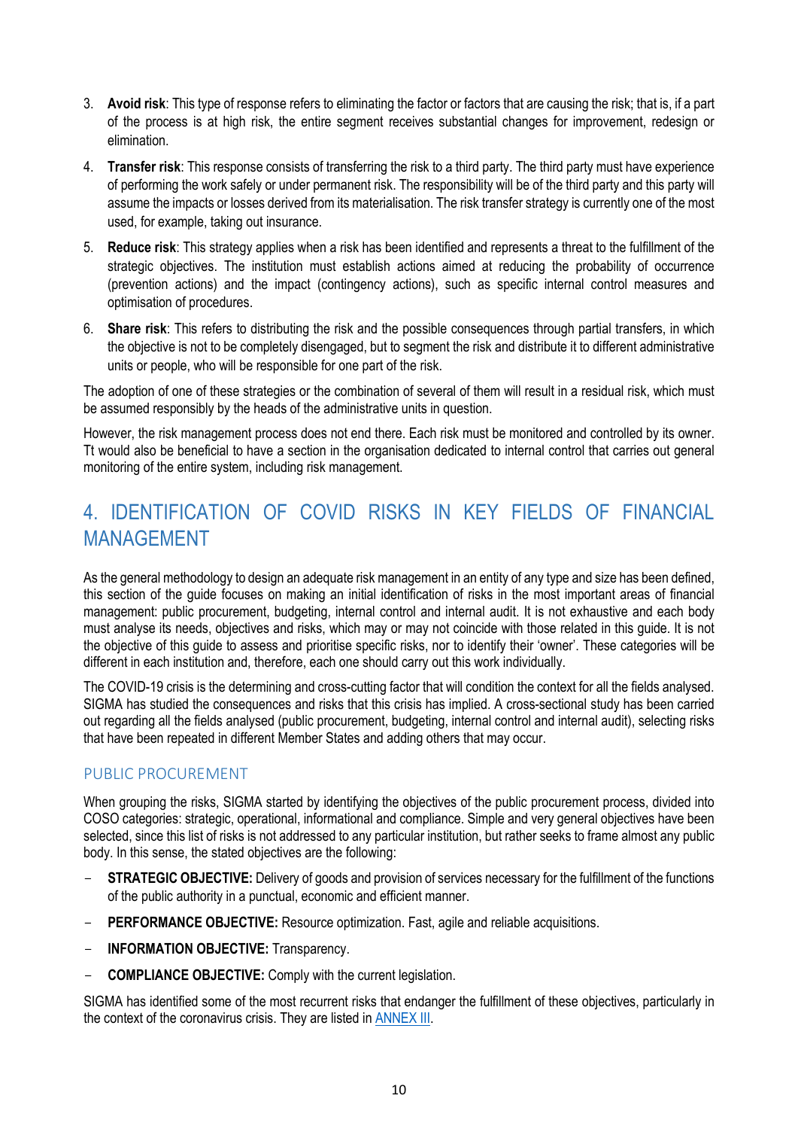- 3. **Avoid risk**: This type of response refers to eliminating the factor or factors that are causing the risk; that is, if a part of the process is at high risk, the entire segment receives substantial changes for improvement, redesign or elimination.
- 4. **Transfer risk**: This response consists of transferring the risk to a third party. The third party must have experience of performing the work safely or under permanent risk. The responsibility will be of the third party and this party will assume the impacts or losses derived from its materialisation. The risk transfer strategy is currently one of the most used, for example, taking out insurance.
- 5. **Reduce risk**: This strategy applies when a risk has been identified and represents a threat to the fulfillment of the strategic objectives. The institution must establish actions aimed at reducing the probability of occurrence (prevention actions) and the impact (contingency actions), such as specific internal control measures and optimisation of procedures.
- 6. **Share risk**: This refers to distributing the risk and the possible consequences through partial transfers, in which the objective is not to be completely disengaged, but to segment the risk and distribute it to different administrative units or people, who will be responsible for one part of the risk.

The adoption of one of these strategies or the combination of several of them will result in a residual risk, which must be assumed responsibly by the heads of the administrative units in question.

However, the risk management process does not end there. Each risk must be monitored and controlled by its owner. Tt would also be beneficial to have a section in the organisation dedicated to internal control that carries out general monitoring of the entire system, including risk management.

# <span id="page-9-0"></span>4. IDENTIFICATION OF COVID RISKS IN KEY FIELDS OF FINANCIAL MANAGEMENT

As the general methodology to design an adequate risk management in an entity of any type and size has been defined, this section of the guide focuses on making an initial identification of risks in the most important areas of financial management: public procurement, budgeting, internal control and internal audit. It is not exhaustive and each body must analyse its needs, objectives and risks, which may or may not coincide with those related in this guide. It is not the objective of this guide to assess and prioritise specific risks, nor to identify their 'owner'. These categories will be different in each institution and, therefore, each one should carry out this work individually.

The COVID-19 crisis is the determining and cross-cutting factor that will condition the context for all the fields analysed. SIGMA has studied the consequences and risks that this crisis has implied. A cross-sectional study has been carried out regarding all the fields analysed (public procurement, budgeting, internal control and internal audit), selecting risks that have been repeated in different Member States and adding others that may occur.

#### <span id="page-9-1"></span>PUBLIC PROCUREMENT

When grouping the risks, SIGMA started by identifying the objectives of the public procurement process, divided into COSO categories: strategic, operational, informational and compliance. Simple and very general objectives have been selected, since this list of risks is not addressed to any particular institution, but rather seeks to frame almost any public body. In this sense, the stated objectives are the following:

- **STRATEGIC OBJECTIVE:** Delivery of goods and provision of services necessary for the fulfillment of the functions of the public authority in a punctual, economic and efficient manner.
- PERFORMANCE OBJECTIVE: Resource optimization. Fast, agile and reliable acquisitions.
- **INFORMATION OBJECTIVE:** Transparency.
- **COMPLIANCE OBJECTIVE:** Comply with the current legislation.

SIGMA has identified some of the most recurrent risks that endanger the fulfillment of these objectives, particularly in the context of the coronavirus crisis. They are listed in **ANNEX III**.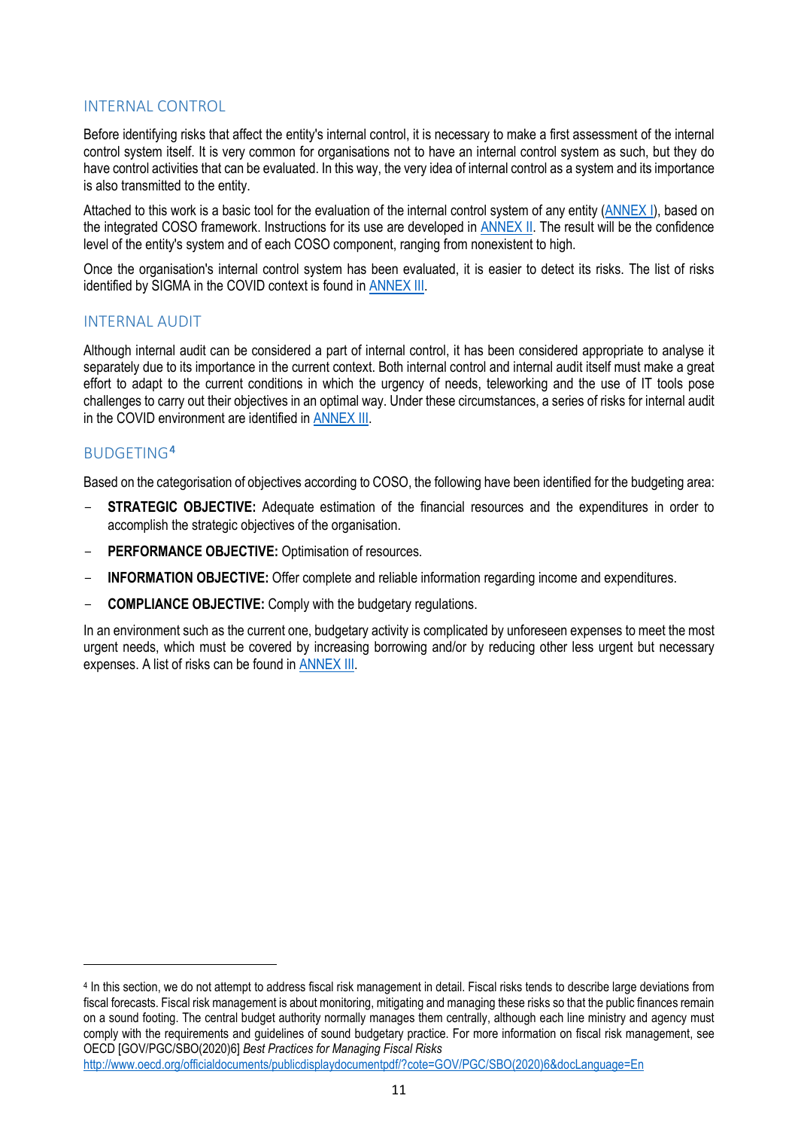#### <span id="page-10-0"></span>INTERNAL CONTROL

Before identifying risks that affect the entity's internal control, it is necessary to make a first assessment of the internal control system itself. It is very common for organisations not to have an internal control system as such, but they do have control activities that can be evaluated. In this way, the very idea of internal control as a system and its importance is also transmitted to the entity.

Attached to this work is a basic tool for the evaluation of the internal control system of any entity [\(ANNEX I\)](http://www.sigmaweb.org/publications/COVID-risk-assessment-guidelines-Annex-1-internal-control-evaluation-tool-SIGMA-March-2021.xlsx), based on the integrated COSO framework. Instructions for its use are developed i[n ANNEX II.](#page-11-0) The result will be the confidence level of the entity's system and of each COSO component, ranging from nonexistent to high.

Once the organisation's internal control system has been evaluated, it is easier to detect its risks. The list of risks identified by SIGMA in the COVID context is found i[n ANNEX III.](http://www.sigmaweb.org/publications/COVID-risk-assessment-guidelines-Annex-3-public-financial-management-risk-assessment-tool-SIGMA-March-2021.xlsx)

#### <span id="page-10-1"></span>INTERNAL AUDIT

Although internal audit can be considered a part of internal control, it has been considered appropriate to analyse it separately due to its importance in the current context. Both internal control and internal audit itself must make a great effort to adapt to the current conditions in which the urgency of needs, teleworking and the use of IT tools pose challenges to carry out their objectives in an optimal way. Under these circumstances, a series of risks for internal audit in the COVID environment are identified in [ANNEX III.](http://www.sigmaweb.org/publications/COVID-risk-assessment-guidelines-Annex-3-public-financial-management-risk-assessment-tool-SIGMA-March-2021.xlsx)

#### <span id="page-10-2"></span>BUDGETING[4](#page-10-3)

 $\overline{a}$ 

Based on the categorisation of objectives according to COSO, the following have been identified for the budgeting area:

- **STRATEGIC OBJECTIVE:** Adequate estimation of the financial resources and the expenditures in order to accomplish the strategic objectives of the organisation.
- PERFORMANCE OBJECTIVE: Optimisation of resources.
- **INFORMATION OBJECTIVE:** Offer complete and reliable information regarding income and expenditures.
- **COMPLIANCE OBJECTIVE:** Comply with the budgetary regulations.

In an environment such as the current one, budgetary activity is complicated by unforeseen expenses to meet the most urgent needs, which must be covered by increasing borrowing and/or by reducing other less urgent but necessary expenses. A list of risks can be found in [ANNEX III.](http://www.sigmaweb.org/publications/COVID-risk-assessment-guidelines-Annex-3-public-financial-management-risk-assessment-tool-SIGMA-March-2021.xlsx)

<span id="page-10-3"></span><sup>4</sup> In this section, we do not attempt to address fiscal risk management in detail. Fiscal risks tends to describe large deviations from fiscal forecasts. Fiscal risk management is about monitoring, mitigating and managing these risks so that the public finances remain on a sound footing. The central budget authority normally manages them centrally, although each line ministry and agency must comply with the requirements and guidelines of sound budgetary practice. For more information on fiscal risk management, see OECD [GOV/PGC/SBO(2020)6] *Best Practices for Managing Fiscal Risks* [http://www.oecd.org/officialdocuments/publicdisplaydocumentpdf/?cote=GOV/PGC/SBO\(2020\)6&docLanguage=En](http://www.oecd.org/officialdocuments/publicdisplaydocumentpdf/?cote=GOV/PGC/SBO(2020)6&docLanguage=En)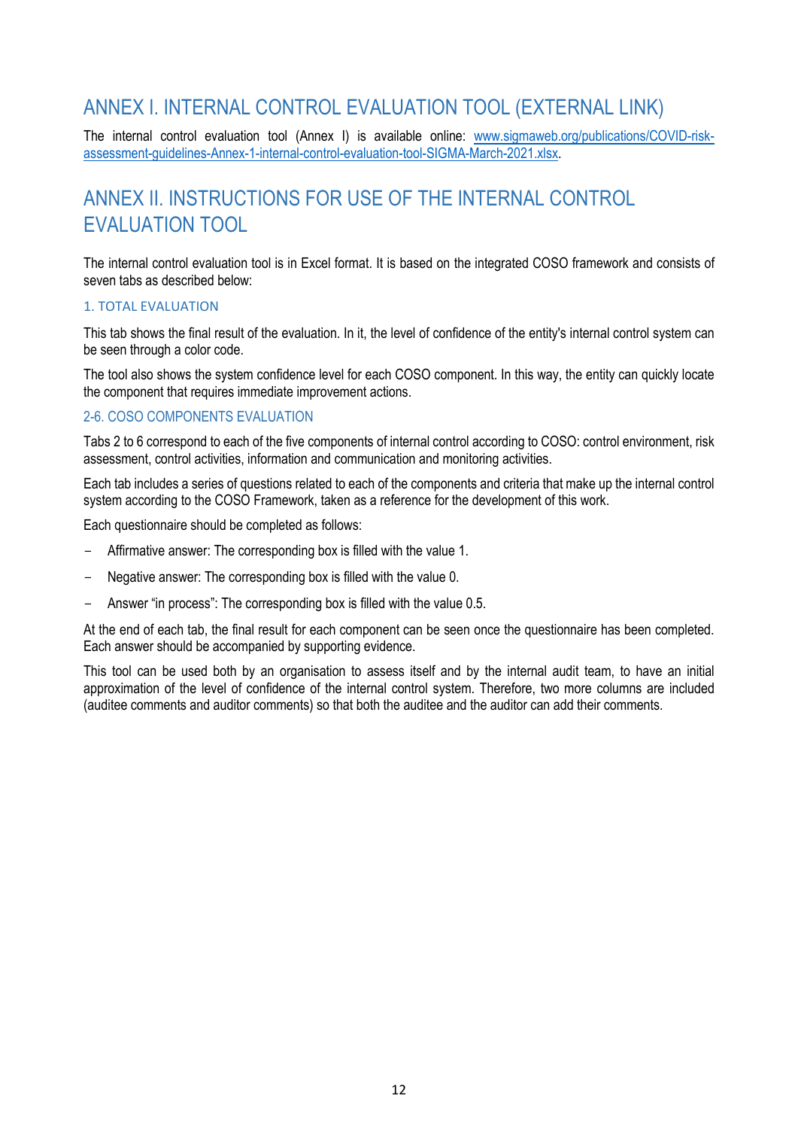# ANNEX I. INTERNAL CONTROL EVALUATION TOOL (EXTERNAL LINK)

The internal control evaluation tool (Annex I) is available online: [www.sigmaweb.org/publications/COVID-risk](http://www.sigmaweb.org/publications/COVID-risk-assessment-guidelines-Annex-1-internal-control-evaluation-tool-SIGMA-March-2021.xlsx)[assessment-guidelines-Annex-1-internal-control-evaluation-tool-SIGMA-March-2021.xlsx.](http://www.sigmaweb.org/publications/COVID-risk-assessment-guidelines-Annex-1-internal-control-evaluation-tool-SIGMA-March-2021.xlsx)

# <span id="page-11-0"></span>ANNEX II. INSTRUCTIONS FOR USE OF THE INTERNAL CONTROL EVALUATION TOOL

The internal control evaluation tool is in Excel format. It is based on the integrated COSO framework and consists of seven tabs as described below:

#### 1. TOTAL EVALUATION

This tab shows the final result of the evaluation. In it, the level of confidence of the entity's internal control system can be seen through a color code.

The tool also shows the system confidence level for each COSO component. In this way, the entity can quickly locate the component that requires immediate improvement actions.

#### 2-6. COSO COMPONENTS EVALUATION

Tabs 2 to 6 correspond to each of the five components of internal control according to COSO: control environment, risk assessment, control activities, information and communication and monitoring activities.

Each tab includes a series of questions related to each of the components and criteria that make up the internal control system according to the COSO Framework, taken as a reference for the development of this work.

Each questionnaire should be completed as follows:

- Affirmative answer: The corresponding box is filled with the value 1.
- Negative answer: The corresponding box is filled with the value 0.
- Answer "in process": The corresponding box is filled with the value 0.5.

At the end of each tab, the final result for each component can be seen once the questionnaire has been completed. Each answer should be accompanied by supporting evidence.

This tool can be used both by an organisation to assess itself and by the internal audit team, to have an initial approximation of the level of confidence of the internal control system. Therefore, two more columns are included (auditee comments and auditor comments) so that both the auditee and the auditor can add their comments.